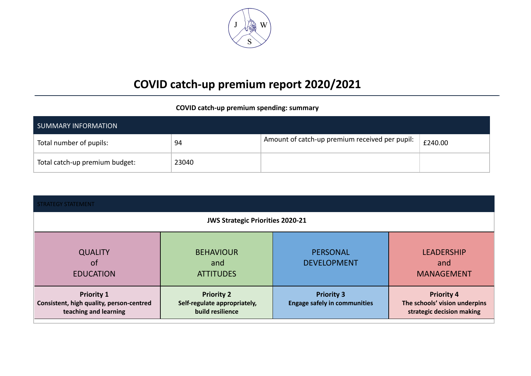

## **COVID catch-up premium report 2020/2021**

## **COVID catch-up premium spending: summary**

| SUMMARY INFORMATION            |       |                                                |         |  |  |
|--------------------------------|-------|------------------------------------------------|---------|--|--|
| Total number of pupils:        | 94    | Amount of catch-up premium received per pupil: | £240.00 |  |  |
| Total catch-up premium budget: | 23040 |                                                |         |  |  |

| <b>STRATEGY STATEMENT</b>                                                              |                                                                       |                                                          |                                                                                 |  |  |  |  |
|----------------------------------------------------------------------------------------|-----------------------------------------------------------------------|----------------------------------------------------------|---------------------------------------------------------------------------------|--|--|--|--|
|                                                                                        | <b>JWS Strategic Priorities 2020-21</b>                               |                                                          |                                                                                 |  |  |  |  |
| <b>QUALITY</b><br><b>of</b><br><b>EDUCATION</b>                                        | <b>BEHAVIOUR</b><br>and<br><b>ATTITUDES</b>                           | PERSONAL<br><b>DEVELOPMENT</b>                           | <b>LEADERSHIP</b><br>and<br><b>MANAGEMENT</b>                                   |  |  |  |  |
| <b>Priority 1</b><br>Consistent, high quality, person-centred<br>teaching and learning | <b>Priority 2</b><br>Self-regulate appropriately,<br>build resilience | <b>Priority 3</b><br><b>Engage safely in communities</b> | <b>Priority 4</b><br>The schools' vision underpins<br>strategic decision making |  |  |  |  |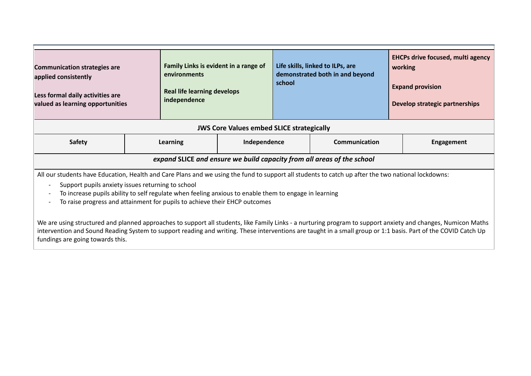| <b>Communication strategies are</b><br>applied consistently<br>Less formal daily activities are<br>valued as learning opportunities                | Family Links is evident in a range of<br>environments<br><b>Real life learning develops</b><br>independence |  | Life skills, linked to ILPs, are<br>demonstrated both in and beyond<br>school |  | <b>EHCPs drive focused, multi agency</b><br>working<br><b>Expand provision</b><br>Develop strategic partnerships |  |
|----------------------------------------------------------------------------------------------------------------------------------------------------|-------------------------------------------------------------------------------------------------------------|--|-------------------------------------------------------------------------------|--|------------------------------------------------------------------------------------------------------------------|--|
| <b>JWS Core Values embed SLICE strategically</b>                                                                                                   |                                                                                                             |  |                                                                               |  |                                                                                                                  |  |
| Safety                                                                                                                                             | Independence<br>Learning                                                                                    |  | <b>Communication</b>                                                          |  | Engagement                                                                                                       |  |
| expand SLICE and ensure we build capacity from all areas of the school                                                                             |                                                                                                             |  |                                                                               |  |                                                                                                                  |  |
| All our students have Education, Health and Care Plans and we using the fund to support all students to catch up after the two national lockdowns: |                                                                                                             |  |                                                                               |  |                                                                                                                  |  |

- Support pupils anxiety issues returning to school
	- To increase pupils ability to self regulate when feeling anxious to enable them to engage in learning
	- To raise progress and attainment for pupils to achieve their EHCP outcomes

We are using structured and planned approaches to support all students, like Family Links - a nurturing program to support anxiety and changes, Numicon Maths intervention and Sound Reading System to support reading and writing. These interventions are taught in a small group or 1:1 basis. Part of the COVID Catch Up fundings are going towards this.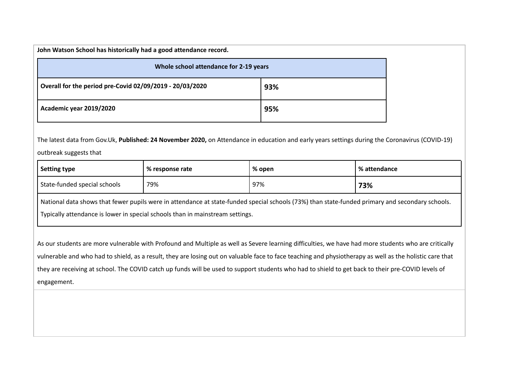| John Watson School has historically had a good attendance record. |     |  |  |  |  |
|-------------------------------------------------------------------|-----|--|--|--|--|
| Whole school attendance for 2-19 years                            |     |  |  |  |  |
| Overall for the period pre-Covid 02/09/2019 - 20/03/2020          | 93% |  |  |  |  |
| Academic year 2019/2020                                           | 95% |  |  |  |  |

The latest data from Gov.Uk, **Published: 24 November 2020,** on Attendance in education and early years settings during the Coronavirus (COVID-19) outbreak suggests that

| <b>Setting type</b>                                                                                                                             | % response rate | % open | % attendance |  |  |
|-------------------------------------------------------------------------------------------------------------------------------------------------|-----------------|--------|--------------|--|--|
| State-funded special schools                                                                                                                    | 79%             | 97%    | 73%          |  |  |
| National data shows that fewer pupils were in attendance at state-funded special schools (73%) than state-funded primary and secondary schools. |                 |        |              |  |  |
| Typically attendance is lower in special schools than in mainstream settings.                                                                   |                 |        |              |  |  |

As our students are more vulnerable with Profound and Multiple as well as Severe learning difficulties, we have had more students who are critically vulnerable and who had to shield, as a result, they are losing out on valuable face to face teaching and physiotherapy as well as the holistic care that they are receiving at school. The COVID catch up funds will be used to support students who had to shield to get back to their pre-COVID levels of engagement.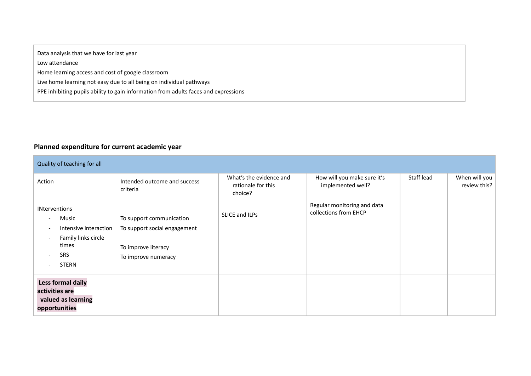Data analysis that we have for last year

Low attendance

Home learning access and cost of google classroom

Live home learning not easy due to all being on individual pathways

PPE inhibiting pupils ability to gain information from adults faces and expressions

## **Planned expenditure for current academic year**

| Quality of teaching for all                                                                                                                                                                                                                                              |                                                                                                        |                                                          |                                                      |            |                               |
|--------------------------------------------------------------------------------------------------------------------------------------------------------------------------------------------------------------------------------------------------------------------------|--------------------------------------------------------------------------------------------------------|----------------------------------------------------------|------------------------------------------------------|------------|-------------------------------|
| Action                                                                                                                                                                                                                                                                   | Intended outcome and success<br>criteria                                                               | What's the evidence and<br>rationale for this<br>choice? | How will you make sure it's<br>implemented well?     | Staff lead | When will you<br>review this? |
| <b>INterventions</b><br>Music<br>$\qquad \qquad \blacksquare$<br>Intensive interaction<br>$\overline{\phantom{0}}$<br>Family links circle<br>$\qquad \qquad \blacksquare$<br>times<br><b>SRS</b><br>$\overline{\phantom{a}}$<br><b>STERN</b><br>$\overline{\phantom{0}}$ | To support communication<br>To support social engagement<br>To improve literacy<br>To improve numeracy | SLICE and ILPs                                           | Regular monitoring and data<br>collections from EHCP |            |                               |
| Less formal daily<br>activities are<br>valued as learning<br>opportunities                                                                                                                                                                                               |                                                                                                        |                                                          |                                                      |            |                               |